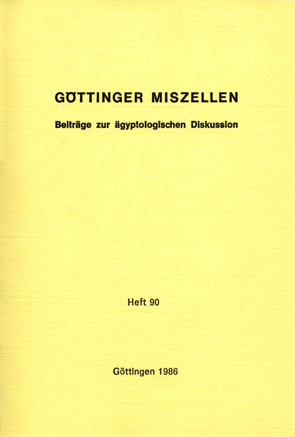# **GOTTINGER MISZELLEN**

**Beiträge zur ägyptologischen Diskussion** 

**Heft 90** 

**Göttingen 1986**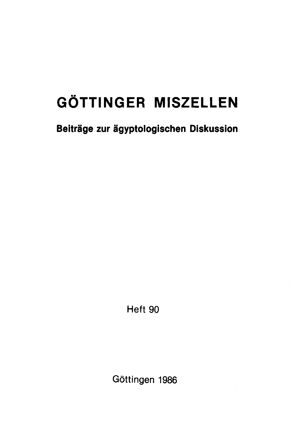# **GÖTTINGER MISZELLEN**

**Beiträge zur ägyptologischen Diskussion** 

Heft 90

Göttingen 1986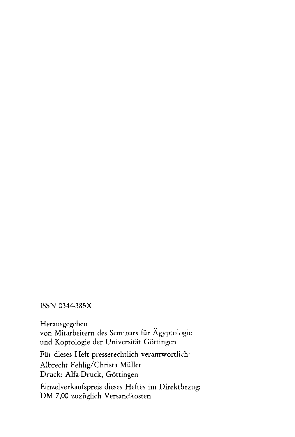### ISSN 0344-385X

Herausgegeben von Mitarbeitern des Seminars für Ägyptologie und Koptologie der Universität Göttingen Für dieses Heft presserechtlich verantwortlich: Albrecht Fehlig/Christa Müller Druck: Alfa-Druck, Göttingen Einzelverkaufspreis dieses Heftes im Direktbezug: DM 7,00 zuzüglich Versandkosten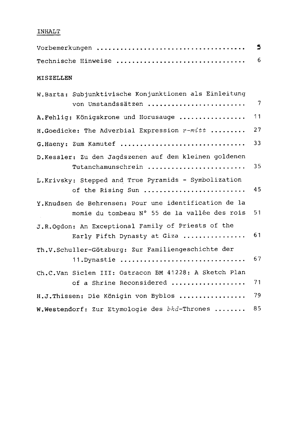## **INHALT**

|                                                                                                        | 5  |
|--------------------------------------------------------------------------------------------------------|----|
| Technische Hinweise                                                                                    | 6  |
| MISZELLEN                                                                                              |    |
| W. Barta: Subjunktivische Konjunktionen als Einleitung<br>von Umstandssätzen                           | -7 |
| A. Fehlig: Königskrone und Horusauge                                                                   | 11 |
| H.Goedicke: The Adverbial Expression $r$ - $mit$ t                                                     | 27 |
| G.Haeny: Zum Kamutef                                                                                   | 33 |
| D.Kessler: Zu den Jagdszenen auf dem kleinen goldenen<br>Tutanchamunschrein                            | 35 |
| L.Krivsky: Stepped and True Pyramids - Symbolization<br>of the Rising Sun                              | 45 |
| Y. Knudsen de Behrensen: Pour une identification de la<br>momie du tombeau N° 55 de la vallée des rois | 51 |
| J.R.Ogdon: An Exceptional Family of Priests of the<br>Early Fifth Dynasty at Giza                      | 61 |
| Th.V.Schuller-Götzburg: Zur Familiengeschichte der<br>11. Dynastie                                     | 67 |
| Ch.C.Van Siclen III: Ostracon BM 41228: A Sketch Plan<br>of a Shrine Reconsidered                      | 71 |
| H.J. Thissen: Die Königin von Byblos                                                                   | 79 |
| W.Westendorf: Zur Etymologie des bhd-Thrones                                                           | 85 |
|                                                                                                        |    |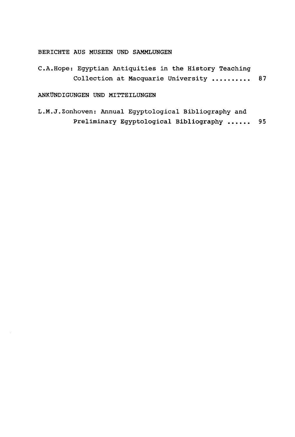#### **BERICHTE AUS MUSEEN UND SAMMLUNGEN**

**C.A.Hope: Egyptian Antiquities in the History Teaching Collection at Macquarie University 87** 

#### ANKUNDIGUNGEN UND MITTEILUNGEN

**L.M.J.Zonhoven: Annual Egyptological Bibliography and Preliminary Egyptological Bibliography 95**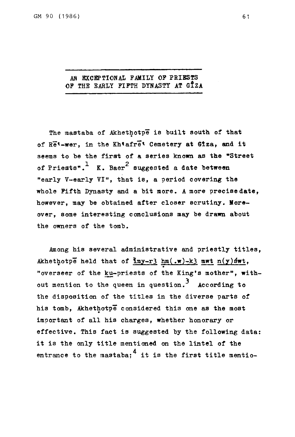#### **AN EXCEPTIONAL FAMILY OP PRIESTS OP THE EARLY FIFTH DYNASTY AT GlzA**

**The raastaba of Akhethotpe is built south of that of Re\*-wer, in the Kh'afre\* Cemetery at Glza, and it seems to be the first of a series known as the "Street**  of Priests".<sup>1</sup> K. Baer<sup>2</sup> suggested a date between "early V-early VI", that is, a period covering the whole Fifth Dynasty and a bit more. A more precise date, however, may be obtained after closer scrutiny. Moreover, some interesting conclusions may be drawn about the owners of the tomb.

**Among his several administrative and priestly titles, Akhethotpe held that of Jmy-r3 hm(,w)-k3 mwt n(y)3wt, "overseer of the ku-priests of the King's mother", with**out mention to the queen in question.<sup>3</sup> According to the disposition of the titles in the diverse parts of his tomb, Akhethotpe considered this one as the most important of all his charges, whether honorary or effective. This fact is suggested by the following data: it is the only title mentioned on the lintel of the **it is the only title mentioned on the lintel of the**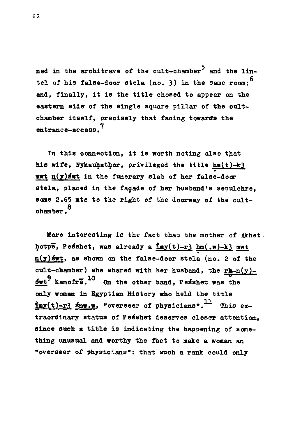ned in the architrave of the cult-chamber<sup>5</sup> and the lin**tel of his false-doer stela (no. 3) in the same room; and, finally, it is the title chosed to appear on the**  eastern side of the single square pillar of the cult**chamher itself, precisely that facing towards the 7 entrance-access.** 

**In this connection, it is worth noting also that his wife, Nykauhathor, privileged the title hm(t)-k3 mwt n(y)s\*wt in the funerary slat of her false-door stela, placed in the facade of her husband's sepulchre, some 2.65 mts to the right of the doorway of the cult-3 chamber•** 

**More interesting is the fact that the mother of Akhet**hotpe, Pesshet, was already a **imy**(t)-r3 hm(.w)-k3 mwt **n(y)swt, as shown on the false-door stela (no. 2 of the**  cult-chamber) she shared with her husband, the  $r = n(y)$ - $\frac{10}{10}$  Kanofre.<sup>10</sup> On the other hand, Pesshet was the **only woman in Egyptian History who held the title**   $\frac{\text{Im}y(t)-r}{r^2}$  snw.w, "overseer of physicians".<sup>11</sup> This extraordinary status of Pesshet deserves closer attention, **since such a title is indicating the happening of something unusual and worthy the fact to make a woman an "overseer of physicians": that such a rank could only**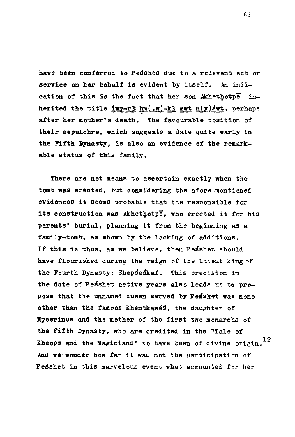**have been conferred to Pes'shes due to a relevant act or service on her behalf is evident by itself. An indi**cation of this is the fact that her son Akhethotpe in**herited the title iay-r3' hm(,w)-k3 mwt n(y)8wt, perhaps after her mother's death. The favourable position of their sepulchre, which suggests a date quite early in the Fifth Dynasty, is also an evidence of the remarkable status of this family.** 

**There are not means to ascertain exactly when the tomb was erected, but considering the afore-mentioned evidences it seems probable that the responsible for its construction was Akhethotpe, who erected it for his parents' burial, planning it from the beginning as a family-tomh, aa shown by the lacking of additions.**  If this is thus, as we believe, then Pesshet should **have flourished during the reign of the latest king of the Fourth Dynasty: Sheps'eskaf. This precision in**  the date of Pesshet active years also leads us to pro**pose that the unnamed queen served by Pesshet was none other than the famous Khentkawe^, the daughter of Mycerinus and the mother of the first two monarchs of the Fifth Dynasty, who are credited in the "Tale of Kheops and the Magicians" to have been of divine origin. And we wonder how far it was not the participation of Pesshet in this marvelous event what accounted for her**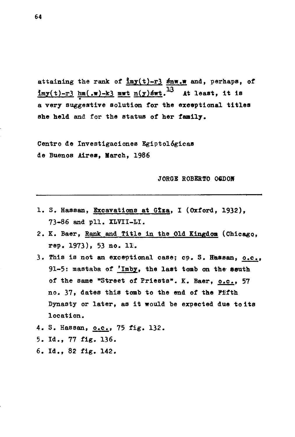**attaining the rank of Jay(t)-r3 snw.w and, perhaps, of lmy(t)-r3 hm( .w)-k3 mwt n(y)éwt. 3 i <sup>3</sup> At least, it is a very suggestive solution for the exceptional titles she held and for the status of her family.** 

**Centro de Investigaciones Egiptológicas de Buenos Aires, March, 1986** 

**JORGE ROBERTO 06D0M** 

- **1. S. Hassan, Excavations at Gtza, I (Oxford, 1932), 73-86 and pll. XLVII-LI.**
- **2. K. Baer, Rank and Title in the Old Kingdom (Chicago, rep. 1973), 53 no. 11.**
- **3. This is not an exceptional case; cp. S. Hassan, o.c. 91-5: mastaba of 'Imby, the last tomb on the south of the same "Street of Priests". K. Baer, o.c . 57 no. 37, dates this tomb to the end of the Fifth Dynasty or later, as it would be expected due to its location.**
- **4. S. Hassan, o.c , 75 fig. 132.**
- **5. Id., 77 fig. 136.**
- **6. Id., 82 fig. 142.**